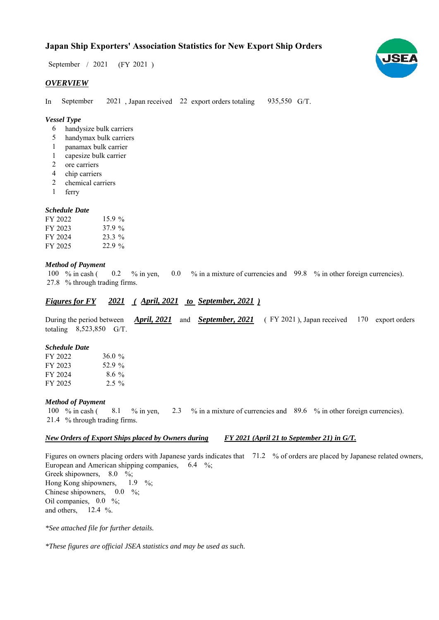## **Japan Ship Exporters' Association Statistics for New Export Ship Orders**

 $/ 2021$  (FY 2021) September / 2021

#### *OVERVIEW*

In September 2021, Japan received 22 export orders totaling 935,550 G/T. September

#### *Vessel Type*

- handysize bulk carriers 6
- handymax bulk carriers 5
- panamax bulk carrier 1
- capesize bulk carrier 1
- ore carriers 2
- chip carriers 4
- chemical carriers 2
- ferry 1

#### *Schedule Date*

| FY 2022 | $15.9\%$ |
|---------|----------|
| FY 2023 | 37.9%    |
| FY 2024 | $23.3\%$ |
| FY 2025 | 22.9%    |

#### *Method of Payment*

100 % in cash  $($  0.2 % in yen, 0.0 % in a mixture of currencies and 99.8 % in other foreign currencies). % through trading firms. 27.8 0.2

### *Figures for FY* 2021 (April, 2021 to September, 2021)

During the period between *April, 2021* and *September, 2021* (FY 2021), Japan received 170 export orders totaling  $8,523,850$  G/T.

#### *Schedule Date*

| FY 2022 | 36.0 $%$ |
|---------|----------|
| FY 2023 | 52.9 %   |
| FY 2024 | $8.6\%$  |
| FY 2025 | $2.5\%$  |

#### *Method of Payment*

% in cash ( $\frac{8.1}{8}$  % in yen,  $\frac{2.3}{8}$  % in a mixture of currencies and  $\frac{89.6}{8}$  % in other foreign currencies). % through trading firms. 21.4 100 % in cash  $($ 2.3 8.1

#### *New Orders of Export Ships placed by Owners during FY 2021 (April 21 to September 21) in G/T.*

Figures on owners placing orders with Japanese yards indicates that 71.2 % of orders are placed by Japanese related owners, European and American shipping companies,  $6.4\%$ ; Greek shipowners, 8.0 %; Hong Kong shipowners, Chinese shipowners,  $0.0\%$ ; Oil companies,  $0.0\%$ ; and others,  $12.4\%$ .  $1.9\%$ 

*\*See attached file for further details.*

*\*These figures are official JSEA statistics and may be used as such.*

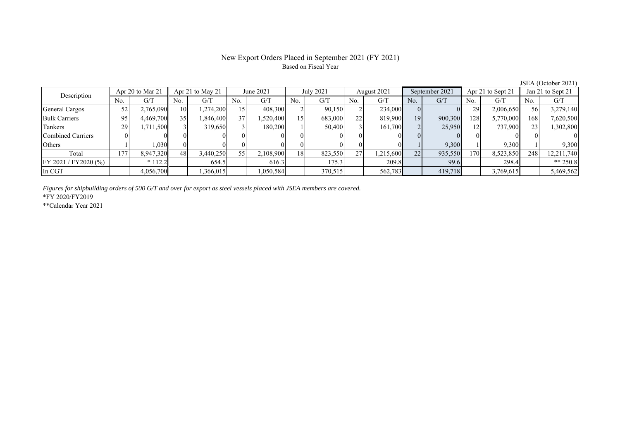#### New Export Orders Placed in September 2021 (FY 2021) Based on Fiscal Year

JSEA (October 2021)<br>
Jan 21 to Sept 21 No. G/T No. G/T No. G/T No. G/T No. G/T No. G/T No. G/T No. G/T General Cargos ( 52 2,765,090 10 1,274,200 15 408,300 2 90,150 2 234,000 0 0 29 2,006,650 56 3,279,140 Bulk Carriers 95 4,469,700 35 1,846,400 37 1,520,400 15 683,000 22 819,900 19 900,300 128 5,770,000 168 7,620,500 Tankers | 29 1,711,500 3 319,650 3 180,200 1 50,400 3 161,700 2 25,950 12 737,900 23 1,302,800 Combined Carriers 0 0 0 0 0 0 0 0 0 0 0 0 0 0 0 0 Others 1 1,030 0 0 0 0 0 0 0 0 1 9,300 1 9,300 1 9,300 Total 177 8,947,320 48 3,440,250 55 2,108,900 18 823,550 27 1,215,600 22 935,550 170 8,523,850 248 12,211,740 FY 2021 / FY2020 (%) \* 112.2 654.5 616.3 175.3 209.8 99.6 298.4 \*\* 250.8 In CGT 4,056,700 1,366,015 1,050,584 370,515 562,783 419,718 3,769,615 5,469,562 Apr 21 to May 21 June 2021 July 2021 Description Apr 20 to Mar 21 August 2021 September 2021 Apr 21 to Sept 21 Jan 21 to Sept 21

*Figures for shipbuilding orders of 500 G/T and over for export as steel vessels placed with JSEA members are covered.*

\*FY 2020/FY2019

\*\*Calendar Year 2021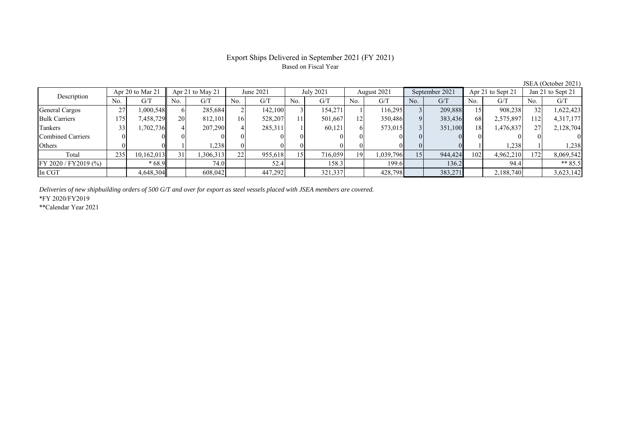#### Export Ships Delivered in September 2021 (FY 2021) Based on Fiscal Year

No. G/T No. G/T No. G/T No. G/T No. G/T No. G/T No. G/T No. G/T General Cargos ( 27 1,000,548 6 285,684 2 142,100 3 154,271 1 116,295 3 209,888 15 908,238 32 1,622,423 Bulk Carriers 175 7,458,729 20 812,101 16 528,207 11 501,667 12 350,486 9 383,436 68 2,575,897 112 4,317,177 Tankers | 33 1,702,736 4 207,290 4 285,311 1 60,121 6 573,015 3 351,100 18 1,476,837 27 2,128,704 Combined Carriers 0 0 0 0 0 0 0 0 0 0 0 0 0 0 0 0 Others ( 0 0 0 1 1,238 0 0 0 0 0 0 0 0 0 1 1,238 1 1,238 Total 235 10,162,013 31 1,306,313 22 955,618 15 716,059 19 1,039,796 15 944,424 102 4,962,210 172 8,069,542 FY 2020 / FY2019 (%) | \* 68.9 | 74.0 | 52.4 | 158.3 | 199.6 | 136.2 | 94.4 | \*\* 85.5 In CGT 4,648,304| 608,042| | 447,292| | 321,337| 428,798| | 383,271| | 2,188,740| | 3,623,142 Apr 20 to Mar 21 Apr 21 to May 21 June 2021 July 2021 August 2021 September 2021 Apr 21 to Sept 21 Jan 21 to Sept 21 Description

*Deliveries of new shipbuilding orders of 500 G/T and over for export as steel vessels placed with JSEA members are covered.*

\*FY 2020/FY2019

\*\*Calendar Year 2021

JSEA (October 2021)